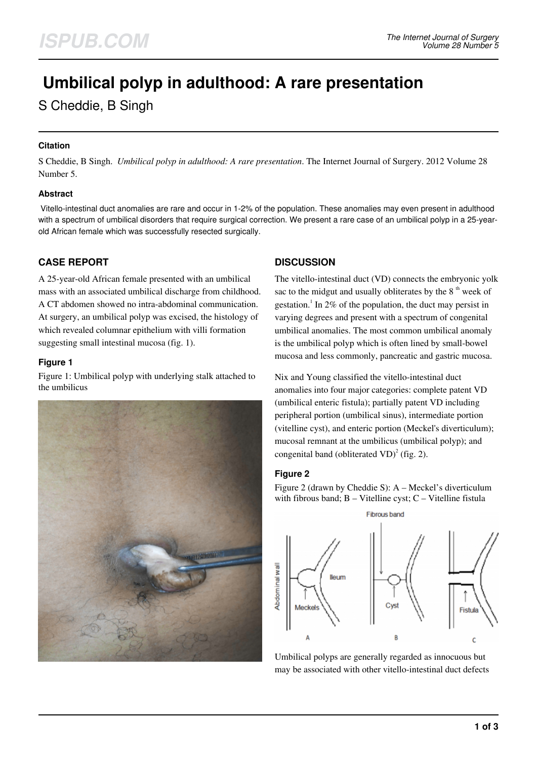# **Umbilical polyp in adulthood: A rare presentation**

S Cheddie, B Singh

## **Citation**

S Cheddie, B Singh. *Umbilical polyp in adulthood: A rare presentation*. The Internet Journal of Surgery. 2012 Volume 28 Number 5.

## **Abstract**

 Vitello-intestinal duct anomalies are rare and occur in 1-2% of the population. These anomalies may even present in adulthood with a spectrum of umbilical disorders that require surgical correction. We present a rare case of an umbilical polyp in a 25-yearold African female which was successfully resected surgically.

# **CASE REPORT**

A 25-year-old African female presented with an umbilical mass with an associated umbilical discharge from childhood. A CT abdomen showed no intra-abdominal communication. At surgery, an umbilical polyp was excised, the histology of which revealed columnar epithelium with villi formation suggesting small intestinal mucosa (fig. 1).

## **Figure 1**

Figure 1: Umbilical polyp with underlying stalk attached to the umbilicus



## **DISCUSSION**

The vitello-intestinal duct (VD) connects the embryonic yolk sac to the midgut and usually obliterates by the  $8<sup>th</sup>$  week of gestation.<sup>1</sup> In 2% of the population, the duct may persist in varying degrees and present with a spectrum of congenital umbilical anomalies. The most common umbilical anomaly is the umbilical polyp which is often lined by small-bowel mucosa and less commonly, pancreatic and gastric mucosa.

Nix and Young classified the vitello-intestinal duct anomalies into four major categories: complete patent VD (umbilical enteric fistula); partially patent VD including peripheral portion (umbilical sinus), intermediate portion (vitelline cyst), and enteric portion (Meckel's diverticulum); mucosal remnant at the umbilicus (umbilical polyp); and congenital band (obliterated VD)<sup>2</sup> (fig. 2).

## **Figure 2**

Figure 2 (drawn by Cheddie S): A – Meckel's diverticulum with fibrous band;  $B - V$ itelline cyst;  $C - V$ itelline fistula



Umbilical polyps are generally regarded as innocuous but may be associated with other vitello-intestinal duct defects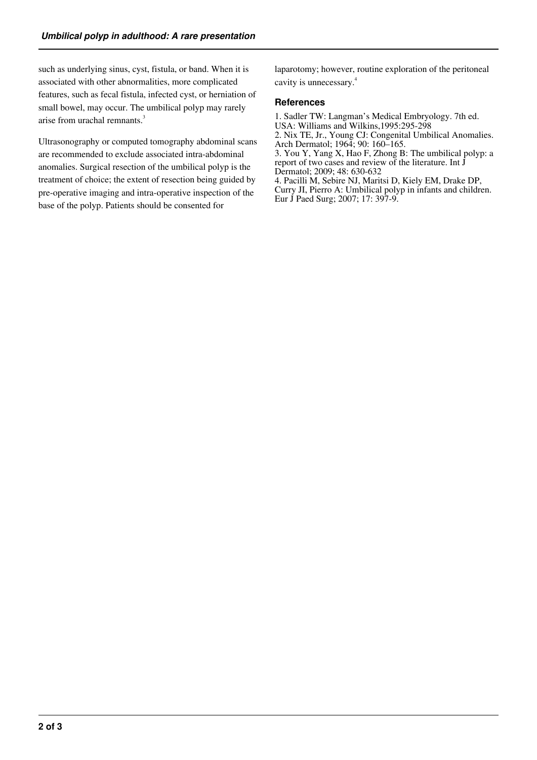such as underlying sinus, cyst, fistula, or band. When it is associated with other abnormalities, more complicated features, such as fecal fistula, infected cyst, or herniation of small bowel, may occur. The umbilical polyp may rarely arise from urachal remnants.<sup>3</sup>

Ultrasonography or computed tomography abdominal scans are recommended to exclude associated intra-abdominal anomalies. Surgical resection of the umbilical polyp is the treatment of choice; the extent of resection being guided by pre-operative imaging and intra-operative inspection of the base of the polyp. Patients should be consented for

laparotomy; however, routine exploration of the peritoneal cavity is unnecessary.<sup>4</sup>

#### **References**

1. Sadler TW: Langman's Medical Embryology. 7th ed. USA: Williams and Wilkins,1995:295-298

2. Nix TE, Jr., Young CJ: Congenital Umbilical Anomalies. Arch Dermatol; 1964; 90: 160–165.

3. You Y, Yang X, Hao F, Zhong B: The umbilical polyp: a report of two cases and review of the literature. Int J

Dermatol; 2009; 48: 630-632

4. Pacilli M, Sebire NJ, Maritsi D, Kiely EM, Drake DP, Curry JI, Pierro A: Umbilical polyp in infants and children. Eur J Paed Surg; 2007; 17: 397-9.